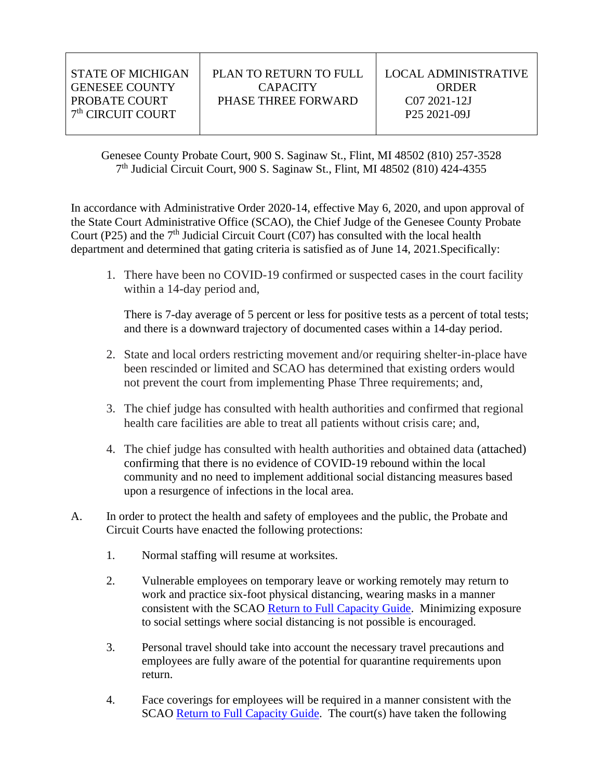| STATE OF MICHIGAN             | PLAN TO RETURN TO FULL | LOCAL ADMINISTRATIVE     |
|-------------------------------|------------------------|--------------------------|
| <b>GENESEE COUNTY</b>         | <b>CAPACITY</b>        | ORDER                    |
| PROBATE COURT                 | PHASE THREE FORWARD    | C <sub>07</sub> 2021-12J |
| 7 <sup>th</sup> CIRCUIT COURT |                        | P <sub>25</sub> 2021-09J |
|                               |                        |                          |

Genesee County Probate Court, 900 S. Saginaw St., Flint, MI 48502 (810) 257-3528 7 th Judicial Circuit Court, 900 S. Saginaw St., Flint, MI 48502 (810) 424-4355

In accordance with Administrative Order 2020-14, effective May 6, 2020, and upon approval of the State Court Administrative Office (SCAO), the Chief Judge of the Genesee County Probate Court (P25) and the  $7<sup>th</sup>$  Judicial Circuit Court (C07) has consulted with the local health department and determined that gating criteria is satisfied as of June 14, 2021.Specifically:

1. There have been no COVID-19 confirmed or suspected cases in the court facility within a 14-day period and,

There is 7-day average of 5 percent or less for positive tests as a percent of total tests; and there is a downward trajectory of documented cases within a 14-day period.

- 2. State and local orders restricting movement and/or requiring shelter-in-place have been rescinded or limited and SCAO has determined that existing orders would not prevent the court from implementing Phase Three requirements; and,
- 3. The chief judge has consulted with health authorities and confirmed that regional health care facilities are able to treat all patients without crisis care; and,
- 4. The chief judge has consulted with health authorities and obtained data (attached) confirming that there is no evidence of COVID-19 rebound within the local community and no need to implement additional social distancing measures based upon a resurgence of infections in the local area.
- A. In order to protect the health and safety of employees and the public, the Probate and Circuit Courts have enacted the following protections:
	- 1. Normal staffing will resume at worksites.
	- 2. Vulnerable employees on temporary leave or working remotely may return to work and practice six-foot physical distancing, wearing masks in a manner consistent with the SCAO [Return to Full Capacity Guide.](https://courts.michigan.gov/News-Events/covid19-resources/Documents/ReturntoFullCapacityGuide.pdf) Minimizing exposure to social settings where social distancing is not possible is encouraged.
	- 3. Personal travel should take into account the necessary travel precautions and employees are fully aware of the potential for quarantine requirements upon return.
	- 4. Face coverings for employees will be required in a manner consistent with the SCAO [Return to Full Capacity Guide.](https://courts.michigan.gov/News-Events/covid19-resources/Documents/ReturntoFullCapacityGuide.pdf) The court(s) have taken the following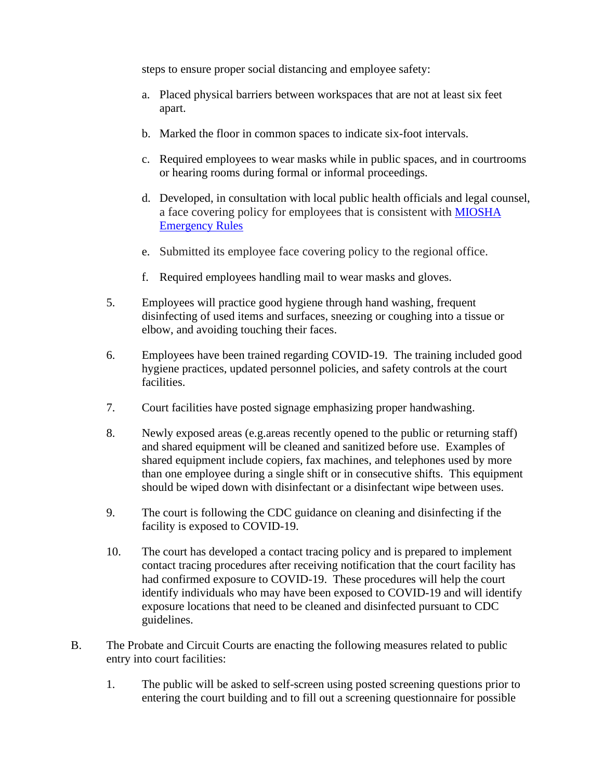steps to ensure proper social distancing and employee safety:

- a. Placed physical barriers between workspaces that are not at least six feet apart.
- b. Marked the floor in common spaces to indicate six-foot intervals.
- c. Required employees to wear masks while in public spaces, and in courtrooms or hearing rooms during formal or informal proceedings.
- d. Developed, in consultation with local public health officials and legal counsel, a face covering policy for employees that is consistent with [MIOSHA](https://www.michigan.gov/documents/leo/Final_MIOSHA_Rules_705164_7.pdf)  [Emergency Rules](https://www.michigan.gov/documents/leo/Final_MIOSHA_Rules_705164_7.pdf)
- e. Submitted its employee face covering policy to the regional office.
- f. Required employees handling mail to wear masks and gloves.
- 5. Employees will practice good hygiene through hand washing, frequent disinfecting of used items and surfaces, sneezing or coughing into a tissue or elbow, and avoiding touching their faces.
- 6. Employees have been trained regarding COVID-19. The training included good hygiene practices, updated personnel policies, and safety controls at the court facilities.
- 7. Court facilities have posted signage emphasizing proper handwashing.
- 8. Newly exposed areas (e.g.areas recently opened to the public or returning staff) and shared equipment will be cleaned and sanitized before use. Examples of shared equipment include copiers, fax machines, and telephones used by more than one employee during a single shift or in consecutive shifts. This equipment should be wiped down with disinfectant or a disinfectant wipe between uses.
- 9. The court is following the CDC guidance on cleaning and disinfecting if the facility is exposed to COVID-19.
- 10. The court has developed a contact tracing policy and is prepared to implement contact tracing procedures after receiving notification that the court facility has had confirmed exposure to COVID-19. These procedures will help the court identify individuals who may have been exposed to COVID-19 and will identify exposure locations that need to be cleaned and disinfected pursuant to CDC guidelines.
- B. The Probate and Circuit Courts are enacting the following measures related to public entry into court facilities:
	- 1. The public will be asked to self-screen using posted screening questions prior to entering the court building and to fill out a screening questionnaire for possible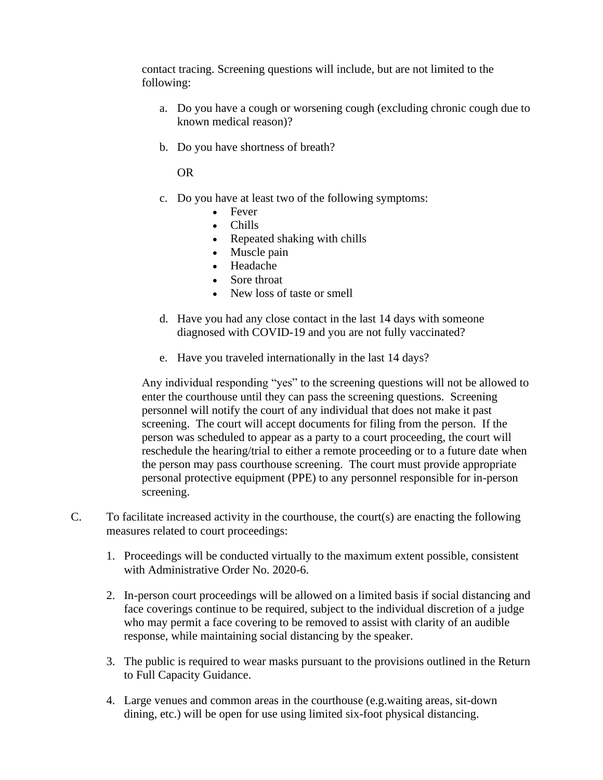contact tracing. Screening questions will include, but are not limited to the following:

- a. Do you have a cough or worsening cough (excluding chronic cough due to known medical reason)?
- b. Do you have shortness of breath?

OR

- c. Do you have at least two of the following symptoms:
	- Fever
	- Chills
	- Repeated shaking with chills
	- Muscle pain
	- Headache
	- Sore throat
	- New loss of taste or smell
- d. Have you had any close contact in the last 14 days with someone diagnosed with COVID-19 and you are not fully vaccinated?
- e. Have you traveled internationally in the last 14 days?

Any individual responding "yes" to the screening questions will not be allowed to enter the courthouse until they can pass the screening questions. Screening personnel will notify the court of any individual that does not make it past screening. The court will accept documents for filing from the person. If the person was scheduled to appear as a party to a court proceeding, the court will reschedule the hearing/trial to either a remote proceeding or to a future date when the person may pass courthouse screening. The court must provide appropriate personal protective equipment (PPE) to any personnel responsible for in-person screening.

- C. To facilitate increased activity in the courthouse, the court(s) are enacting the following measures related to court proceedings:
	- 1. Proceedings will be conducted virtually to the maximum extent possible, consistent with Administrative Order No. 2020-6.
	- 2. In-person court proceedings will be allowed on a limited basis if social distancing and face coverings continue to be required, subject to the individual discretion of a judge who may permit a face covering to be removed to assist with clarity of an audible response, while maintaining social distancing by the speaker.
	- 3. The public is required to wear masks pursuant to the provisions outlined in the Return to Full Capacity Guidance.
	- 4. Large venues and common areas in the courthouse (e.g.waiting areas, sit-down dining, etc.) will be open for use using limited six-foot physical distancing.